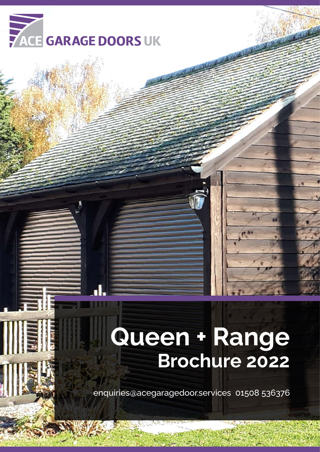

# **Queen + Range Brochure 2022**

enquiries@acegaragedoor.services 01508 536376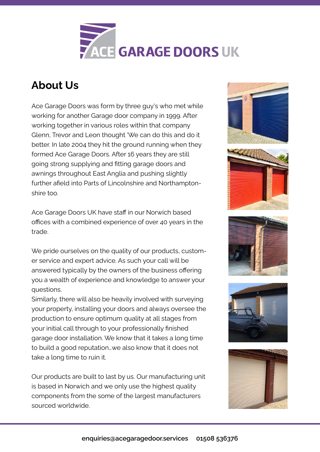

## **About Us**

Ace Garage Doors was form by three guy's who met while working for another Garage door company in 1999. After working together in various roles within that company Glenn, Trevor and Leon thought 'We can do this and do it better. In late 2004 they hit the ground running when they formed Ace Garage Doors. After 16 years they are still going strong supplying and fitting garage doors and awnings throughout East Anglia and pushing slightly further afield into Parts of Lincolnshire and Northamptonshire too.

Ace Garage Doors UK have staff in our Norwich based offices with a combined experience of over 40 years in the trade.

We pride ourselves on the quality of our products, customer service and expert advice. As such your call will be answered typically by the owners of the business offering you a wealth of experience and knowledge to answer your questions.

Similarly, there will also be heavily involved with surveying your property, installing your doors and always oversee the production to ensure optimum quality at all stages from your initial call through to your professionally finished garage door installation. We know that it takes a long time to build a good reputation…we also know that it does not take a long time to ruin it.

Our products are built to last by us. Our manufacturing unit is based in Norwich and we only use the highest quality components from the some of the largest manufacturers sourced worldwide.



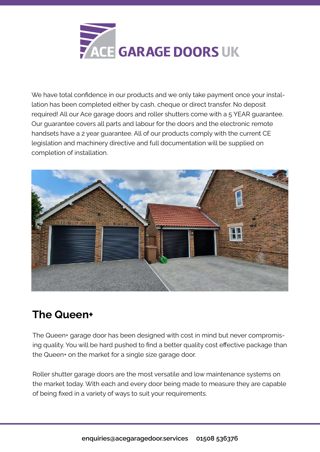

We have total confidence in our products and we only take payment once your installation has been completed either by cash, cheque or direct transfer. No deposit required! All our Ace garage doors and roller shutters come with a 5 YEAR guarantee. Our guarantee covers all parts and labour for the doors and the electronic remote handsets have a 2 year guarantee. All of our products comply with the current CE legislation and machinery directive and full documentation will be supplied on completion of installation.



# **The Queen+**

The Queen+ garage door has been designed with cost in mind but never compromising quality. You will be hard pushed to find a better quality cost effective package than the Queen+ on the market for a single size garage door.

Roller shutter garage doors are the most versatile and low maintenance systems on the market today. With each and every door being made to measure they are capable of being fixed in a variety of ways to suit your requirements.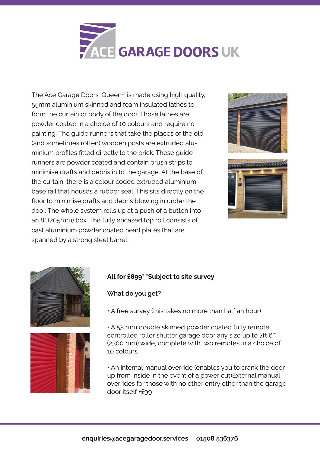

The Ace Garage Doors 'Queen+' is made using high quality, 55mm aluminium skinned and foam insulated lathes to form the curtain or body of the door. Those lathes are powder coated in a choice of 10 colours and require no painting. The guide runner's that take the places of the old (and sometimes rotten) wooden posts are extruded aluminium profiles fitted directly to the brick. These guide runners are powder coated and contain brush strips to minimise drafts and debris in to the garage. At the base of the curtain, there is a colour coded extruded aluminium base rail that houses a rubber seal. This sits directly on the floor to minimise drafts and debris blowing in under the door. The whole system rolls up at a push of a button into an 8" (205mm) box. The fully encased top roll consists of cast aluminium powder coated head plates that are spanned by a strong steel barrel.







#### **All for £899\* \*Subject to site survey**

#### **What do you get?**

• A free survey (this takes no more than half an hour)

• A 55 mm double skinned powder coated fully remote controlled roller shutter garage door any size up to 7ft 6'" (2300 mm) wide, complete with two remotes in a choice of 10 colours

• An internal manual override (enables you to crank the door up from inside in the event of a power cut)External manual overrides for those with no other entry other than the garage door itself +£99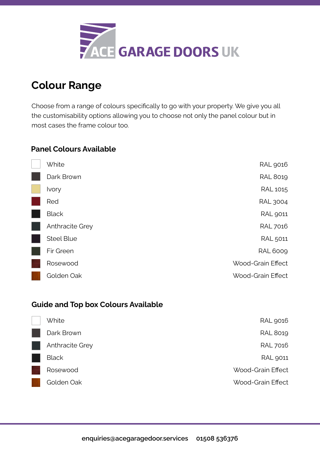

## **Colour Range**

Choose from a range of colours specifically to go with your property. We give you all the customisability options allowing you to choose not only the panel colour but in most cases the frame colour too.

#### **Panel Colours Available**

| <b>White</b>      | <b>RAL 9016</b>          |
|-------------------|--------------------------|
| Dark Brown        | <b>RAL 8019</b>          |
| Ivory             | <b>RAL 1015</b>          |
| Red               | <b>RAL 3004</b>          |
| <b>Black</b>      | <b>RAL 9011</b>          |
| Anthracite Grey   | <b>RAL 7016</b>          |
| <b>Steel Blue</b> | <b>RAL 5011</b>          |
| Fir Green         | <b>RAL 6009</b>          |
| Rosewood          | <b>Wood-Grain Effect</b> |
| Golden Oak        | <b>Wood-Grain Effect</b> |

### **Guide and Top box Colours Available**

| <b>White</b>    | <b>RAL 9016</b>   |
|-----------------|-------------------|
| Dark Brown      | <b>RAL 8019</b>   |
| Anthracite Grey | <b>RAL 7016</b>   |
| <b>Black</b>    | <b>RAL 9011</b>   |
| Rosewood        | Wood-Grain Effect |
| Golden Oak      | Wood-Grain Effect |
|                 |                   |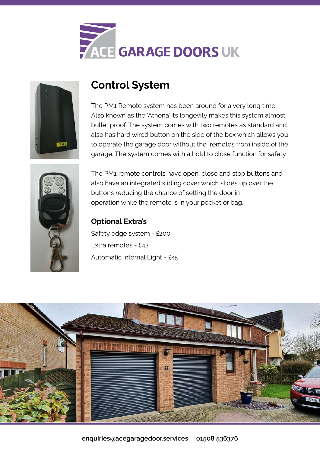



# **Control System**

The PM1 Remote system has been around for a very long time. Also known as the 'Athena' its longevity makes this system almost bullet proof. The system comes with two remotes as standard and also has hard wired button on the side of the box which allows you to operate the garage door without the remotes from inside of the garage. The system comes with a hold to close function for safety.



The PM1 remote controls have open, close and stop buttons and also have an integrated sliding cover which slides up over the buttons reducing the chance of setting the door in operation while the remote is in your pocket or bag.

## **Optional Extra's**

Safety edge system - £200 Extra remotes - £42 Automatic internal Light - £45

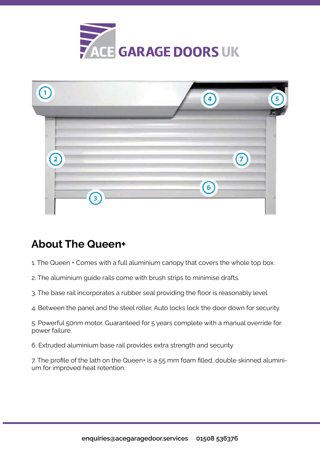



# **About The Queen+**

- 1. The Queen + Comes with a full aluminium canopy that covers the whole top box.
- 2. The aluminium guide rails come with brush strips to minimise drafts.
- 3. The base rail incorporates a rubber seal providing the floor is reasonably level.
- 4. Between the panel and the steel roller, Auto locks lock the door down for security.

5. Powerful 50nm motor. Guaranteed for 5 years complete with a manual override for power failure.

6. Extruded aluminium base rail provides extra strength and security

7. The profile of the lath on the Queen+ is a 55 mm foam filled, double skinned aluminium for improved heat retention.